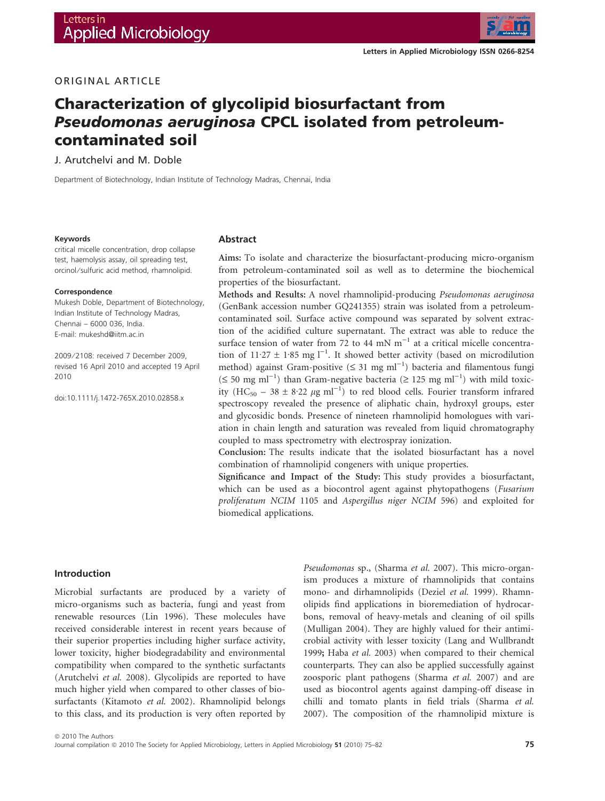

# ORIGINAL ARTICLE

# Characterization of glycolipid biosurfactant from Pseudomonas aeruginosa CPCL isolated from petroleumcontaminated soil

J. Arutchelvi and M. Doble

Department of Biotechnology, Indian Institute of Technology Madras, Chennai, India

#### Keywords

critical micelle concentration, drop collapse test, haemolysis assay, oil spreading test, orcinol/sulfuric acid method, rhamnolipid.

#### Correspondence

Mukesh Doble, Department of Biotechnology, Indian Institute of Technology Madras, Chennai – 6000 036, India. E-mail: mukeshd@iitm.ac.in

2009 ⁄ 2108: received 7 December 2009, revised 16 April 2010 and accepted 19 April 2010

doi:10.1111/j.1472-765X.2010.02858.x

#### Abstract

Aims: To isolate and characterize the biosurfactant-producing micro-organism from petroleum-contaminated soil as well as to determine the biochemical properties of the biosurfactant.

Methods and Results: A novel rhamnolipid-producing *Pseudomonas aeruginosa* (GenBank accession number GQ241355) strain was isolated from a petroleumcontaminated soil. Surface active compound was separated by solvent extraction of the acidified culture supernatant. The extract was able to reduce the surface tension of water from 72 to 44 mN  $m^{-1}$  at a critical micelle concentration of  $11.27 \pm 1.85$  mg  $l^{-1}$ . It showed better activity (based on microdilution method) against Gram-positive ( $\leq$  31 mg ml<sup>-1</sup>) bacteria and filamentous fungi  $(\leq 50 \text{ mg m}^{-1})$  than Gram-negative bacteria ( $\geq 125 \text{ mg m}^{-1}$ ) with mild toxicity (HC<sub>50</sub> – 38  $\pm$  8.22  $\mu$ g ml<sup>-1</sup>) to red blood cells. Fourier transform infrared spectroscopy revealed the presence of aliphatic chain, hydroxyl groups, ester and glycosidic bonds. Presence of nineteen rhamnolipid homologues with variation in chain length and saturation was revealed from liquid chromatography coupled to mass spectrometry with electrospray ionization.

Conclusion: The results indicate that the isolated biosurfactant has a novel combination of rhamnolipid congeners with unique properties.

Significance and Impact of the Study: This study provides a biosurfactant, which can be used as a biocontrol agent against phytopathogens (*Fusarium proliferatum NCIM* 1105 and *Aspergillus niger NCIM* 596) and exploited for biomedical applications.

#### Introduction

Microbial surfactants are produced by a variety of micro-organisms such as bacteria, fungi and yeast from renewable resources (Lin 1996). These molecules have received considerable interest in recent years because of their superior properties including higher surface activity, lower toxicity, higher biodegradability and environmental compatibility when compared to the synthetic surfactants (Arutchelvi *et al.* 2008). Glycolipids are reported to have much higher yield when compared to other classes of biosurfactants (Kitamoto *et al.* 2002). Rhamnolipid belongs to this class, and its production is very often reported by *Pseudomonas* sp., (Sharma *et al.* 2007). This micro-organism produces a mixture of rhamnolipids that contains mono- and dirhamnolipids (Deziel *et al.* 1999). Rhamnolipids find applications in bioremediation of hydrocarbons, removal of heavy-metals and cleaning of oil spills (Mulligan 2004). They are highly valued for their antimicrobial activity with lesser toxicity (Lang and Wullbrandt 1999; Haba *et al.* 2003) when compared to their chemical counterparts. They can also be applied successfully against zoosporic plant pathogens (Sharma *et al.* 2007) and are used as biocontrol agents against damping-off disease in chilli and tomato plants in field trials (Sharma *et al.* 2007). The composition of the rhamnolipid mixture is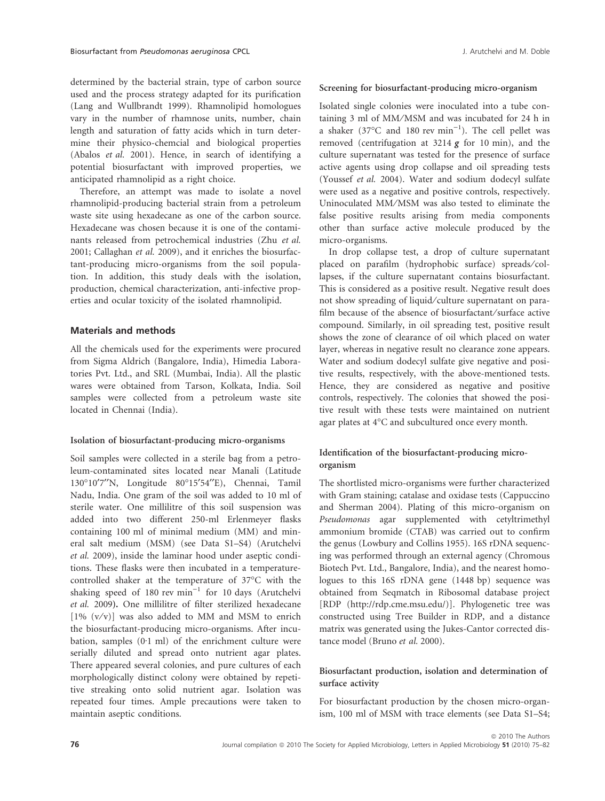determined by the bacterial strain, type of carbon source used and the process strategy adapted for its purification (Lang and Wullbrandt 1999). Rhamnolipid homologues vary in the number of rhamnose units, number, chain length and saturation of fatty acids which in turn determine their physico-chemcial and biological properties (Abalos *et al.* 2001). Hence, in search of identifying a potential biosurfactant with improved properties, we anticipated rhamnolipid as a right choice.

Therefore, an attempt was made to isolate a novel rhamnolipid-producing bacterial strain from a petroleum waste site using hexadecane as one of the carbon source. Hexadecane was chosen because it is one of the contaminants released from petrochemical industries (Zhu *et al.* 2001; Callaghan *et al.* 2009), and it enriches the biosurfactant-producing micro-organisms from the soil population. In addition, this study deals with the isolation, production, chemical characterization, anti-infective properties and ocular toxicity of the isolated rhamnolipid.

## Materials and methods

All the chemicals used for the experiments were procured from Sigma Aldrich (Bangalore, India), Himedia Laboratories Pvt. Ltd., and SRL (Mumbai, India). All the plastic wares were obtained from Tarson, Kolkata, India. Soil samples were collected from a petroleum waste site located in Chennai (India).

## Isolation of biosurfactant-producing micro-organisms

Soil samples were collected in a sterile bag from a petroleum-contaminated sites located near Manali (Latitude 130°10'7"N, Longitude 80°15'54"E), Chennai, Tamil Nadu, India. One gram of the soil was added to 10 ml of sterile water. One millilitre of this soil suspension was added into two different 250-ml Erlenmeyer flasks containing 100 ml of minimal medium (MM) and mineral salt medium (MSM) (see Data S1–S4) (Arutchelvi *et al.* 2009), inside the laminar hood under aseptic conditions. These flasks were then incubated in a temperaturecontrolled shaker at the temperature of 37°C with the shaking speed of 180 rev  $min^{-1}$  for 10 days (Arutchelvi *et al.* 2009). One millilitre of filter sterilized hexadecane  $[1\% (v/v)]$  was also added to MM and MSM to enrich the biosurfactant-producing micro-organisms. After incubation, samples  $(0.1 \text{ ml})$  of the enrichment culture were serially diluted and spread onto nutrient agar plates. There appeared several colonies, and pure cultures of each morphologically distinct colony were obtained by repetitive streaking onto solid nutrient agar. Isolation was repeated four times. Ample precautions were taken to maintain aseptic conditions.

## Screening for biosurfactant-producing micro-organism

Isolated single colonies were inoculated into a tube containing 3 ml of MM/MSM and was incubated for 24 h in a shaker (37°C and 180 rev  $min^{-1}$ ). The cell pellet was removed (centrifugation at  $3214$  g for 10 min), and the culture supernatant was tested for the presence of surface active agents using drop collapse and oil spreading tests (Youssef *et al.* 2004). Water and sodium dodecyl sulfate were used as a negative and positive controls, respectively. Uninoculated MM/MSM was also tested to eliminate the false positive results arising from media components other than surface active molecule produced by the micro-organisms.

In drop collapse test, a drop of culture supernatant placed on parafilm (hydrophobic surface) spreads⁄ collapses, if the culture supernatant contains biosurfactant. This is considered as a positive result. Negative result does not show spreading of liquid/culture supernatant on parafilm because of the absence of biosurfactant/surface active compound. Similarly, in oil spreading test, positive result shows the zone of clearance of oil which placed on water layer, whereas in negative result no clearance zone appears. Water and sodium dodecyl sulfate give negative and positive results, respectively, with the above-mentioned tests. Hence, they are considered as negative and positive controls, respectively. The colonies that showed the positive result with these tests were maintained on nutrient agar plates at 4°C and subcultured once every month.

# Identification of the biosurfactant-producing microorganism

The shortlisted micro-organisms were further characterized with Gram staining; catalase and oxidase tests (Cappuccino and Sherman 2004). Plating of this micro-organism on *Pseudomonas* agar supplemented with cetyltrimethyl ammonium bromide (CTAB) was carried out to confirm the genus (Lowbury and Collins 1955). 16S rDNA sequencing was performed through an external agency (Chromous Biotech Pvt. Ltd., Bangalore, India), and the nearest homologues to this 16S rDNA gene (1448 bp) sequence was obtained from Seqmatch in Ribosomal database project [RDP (http://rdp.cme.msu.edu/)]. Phylogenetic tree was constructed using Tree Builder in RDP, and a distance matrix was generated using the Jukes-Cantor corrected distance model (Bruno *et al.* 2000).

## Biosurfactant production, isolation and determination of surface activity

For biosurfactant production by the chosen micro-organism, 100 ml of MSM with trace elements (see Data S1–S4;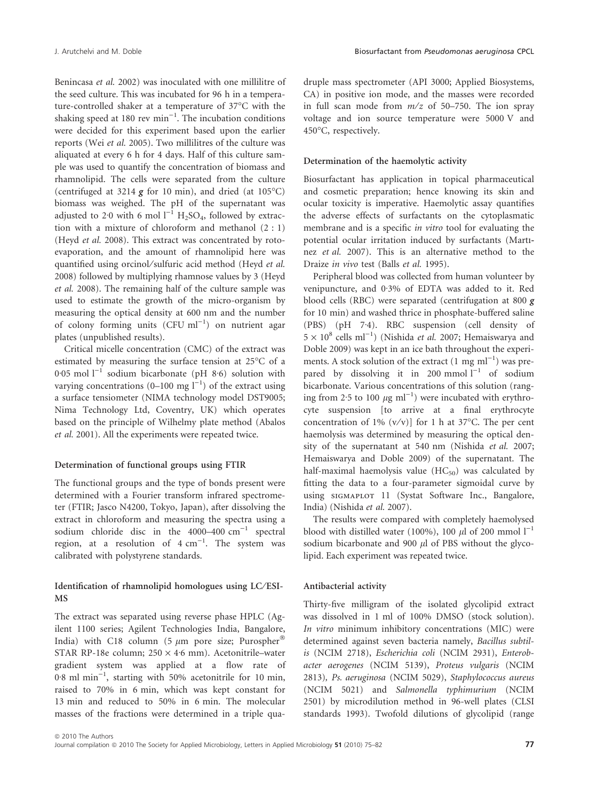Benincasa *et al.* 2002) was inoculated with one millilitre of the seed culture. This was incubated for 96 h in a temperature-controlled shaker at a temperature of 37°C with the shaking speed at 180 rev  $min^{-1}$ . The incubation conditions were decided for this experiment based upon the earlier reports (Wei *et al.* 2005). Two millilitres of the culture was aliquated at every 6 h for 4 days. Half of this culture sample was used to quantify the concentration of biomass and rhamnolipid. The cells were separated from the culture (centrifuged at 3214  $g$  for 10 min), and dried (at 105°C) biomass was weighed. The pH of the supernatant was adjusted to 2.0 with 6 mol  $1^{-1}$  H<sub>2</sub>SO<sub>4</sub>, followed by extraction with a mixture of chloroform and methanol (2 : 1) (Heyd *et al.* 2008). This extract was concentrated by rotoevaporation, and the amount of rhamnolipid here was quantified using orcinol/sulfuric acid method (Heyd et al. 2008) followed by multiplying rhamnose values by 3 (Heyd *et al.* 2008). The remaining half of the culture sample was used to estimate the growth of the micro-organism by measuring the optical density at 600 nm and the number of colony forming units  $(CFU \text{ ml}^{-1})$  on nutrient agar plates (unpublished results).

Critical micelle concentration (CMC) of the extract was estimated by measuring the surface tension at 25°C of a 0.05 mol  $l^{-1}$  sodium bicarbonate (pH 8.6) solution with varying concentrations (0–100 mg  $1^{-1}$ ) of the extract using a surface tensiometer (NIMA technology model DST9005; Nima Technology Ltd, Coventry, UK) which operates based on the principle of Wilhelmy plate method (Abalos *et al.* 2001). All the experiments were repeated twice.

## Determination of functional groups using FTIR

The functional groups and the type of bonds present were determined with a Fourier transform infrared spectrometer (FTIR; Jasco N4200, Tokyo, Japan), after dissolving the extract in chloroform and measuring the spectra using a sodium chloride disc in the  $4000-400 \text{ cm}^{-1}$  spectral region, at a resolution of  $4 \text{ cm}^{-1}$ . The system was calibrated with polystyrene standards.

## Identification of rhamnolipid homologues using LC⁄ ESI-MS

The extract was separated using reverse phase HPLC (Agilent 1100 series; Agilent Technologies India, Bangalore, India) with C18 column (5  $\mu$ m pore size; Purospher® STAR RP-18e column;  $250 \times 4.6$  mm). Acetonitrile–water gradient system was applied at a flow rate of  $0.8$  ml min<sup>-1</sup>, starting with 50% acetonitrile for 10 min, raised to 70% in 6 min, which was kept constant for 13 min and reduced to 50% in 6 min. The molecular masses of the fractions were determined in a triple quadruple mass spectrometer (API 3000; Applied Biosystems, CA) in positive ion mode, and the masses were recorded in full scan mode from *m*⁄*z* of 50–750. The ion spray voltage and ion source temperature were 5000 V and 450°C, respectively.

#### Determination of the haemolytic activity

Biosurfactant has application in topical pharmaceutical and cosmetic preparation; hence knowing its skin and ocular toxicity is imperative. Haemolytic assay quantifies the adverse effects of surfactants on the cytoplasmatic membrane and is a specific *in vitro* tool for evaluating the potential ocular irritation induced by surfactants (Martınez *et al.* 2007). This is an alternative method to the Draize *in vivo* test (Balls *et al.* 1995).

Peripheral blood was collected from human volunteer by venipuncture, and 0.3% of EDTA was added to it. Red blood cells (RBC) were separated (centrifugation at 800 g for 10 min) and washed thrice in phosphate-buffered saline (PBS) (pH  $7.4$ ). RBC suspension (cell density of  $5 \times 10^8$  cells ml<sup>-1</sup>) (Nishida *et al.* 2007; Hemaiswarya and Doble 2009) was kept in an ice bath throughout the experiments. A stock solution of the extract  $(1 \text{ mg ml}^{-1})$  was prepared by dissolving it in 200 mmol  $I^{-1}$  of sodium bicarbonate. Various concentrations of this solution (ranging from 2.5 to 100  $\mu$ g ml<sup>-1</sup>) were incubated with erythrocyte suspension [to arrive at a final erythrocyte concentration of 1%  $(v/v)$ ] for 1 h at 37°C. The per cent haemolysis was determined by measuring the optical density of the supernatant at 540 nm (Nishida *et al.* 2007; Hemaiswarya and Doble 2009) of the supernatant. The half-maximal haemolysis value  $(HC_{50})$  was calculated by fitting the data to a four-parameter sigmoidal curve by using sigmaplot 11 (Systat Software Inc., Bangalore, India) (Nishida *et al.* 2007).

The results were compared with completely haemolysed blood with distilled water (100%), 100  $\mu$ l of 200 mmol l<sup>-1</sup> sodium bicarbonate and 900  $\mu$ l of PBS without the glycolipid. Each experiment was repeated twice.

#### Antibacterial activity

Thirty-five milligram of the isolated glycolipid extract was dissolved in 1 ml of 100% DMSO (stock solution). *In vitro* minimum inhibitory concentrations (MIC) were determined against seven bacteria namely, *Bacillus subtilis* (NCIM 2718), *Escherichia coli* (NCIM 2931), *Enterobacter aerogenes* (NCIM 5139), *Proteus vulgaris* (NCIM 2813)*, Ps. aeruginosa* (NCIM 5029), *Staphylococcus aureus* (NCIM 5021) and *Salmonella typhimurium* (NCIM 2501) by microdilution method in 96-well plates (CLSI standards 1993). Twofold dilutions of glycolipid (range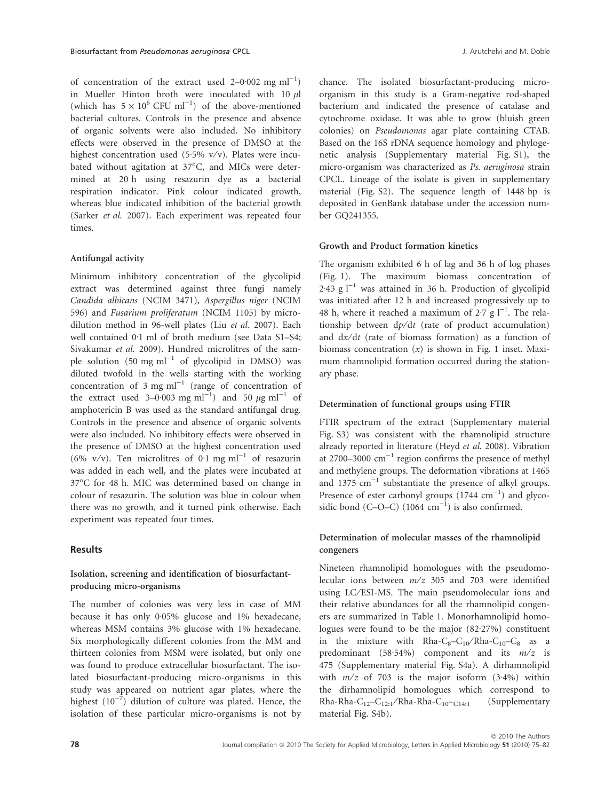of concentration of the extract used  $2-0.002$  mg ml<sup>-1</sup>) in Mueller Hinton broth were inoculated with 10  $\mu$ l (which has  $5 \times 10^6$  CFU ml<sup>-1</sup>) of the above-mentioned bacterial cultures. Controls in the presence and absence of organic solvents were also included. No inhibitory effects were observed in the presence of DMSO at the highest concentration used (5.5% v/v). Plates were incubated without agitation at 37°C, and MICs were determined at 20 h using resazurin dye as a bacterial respiration indicator. Pink colour indicated growth, whereas blue indicated inhibition of the bacterial growth (Sarker *et al.* 2007). Each experiment was repeated four times.

#### Antifungal activity

Minimum inhibitory concentration of the glycolipid extract was determined against three fungi namely *Candida albicans* (NCIM 3471)*, Aspergillus niger* (NCIM 596) and *Fusarium proliferatum* (NCIM 1105) by microdilution method in 96-well plates (Liu *et al.* 2007). Each well contained  $0.1$  ml of broth medium (see Data S1–S4; Sivakumar *et al.* 2009). Hundred microlitres of the sample solution  $(50 \text{ mg ml}^{-1}$  of glycolipid in DMSO) was diluted twofold in the wells starting with the working concentration of 3 mg  $ml^{-1}$  (range of concentration of the extract used 3–0.003 mg ml<sup>-1</sup>) and 50  $\mu$ g ml<sup>-1</sup> of amphotericin B was used as the standard antifungal drug. Controls in the presence and absence of organic solvents were also included. No inhibitory effects were observed in the presence of DMSO at the highest concentration used  $(6\% \text{ v/v})$ . Ten microlitres of 0.1 mg ml<sup>-1</sup> of resazurin was added in each well, and the plates were incubated at 37°C for 48 h. MIC was determined based on change in colour of resazurin. The solution was blue in colour when there was no growth, and it turned pink otherwise. Each experiment was repeated four times.

## **Results**

## Isolation, screening and identification of biosurfactantproducing micro-organisms

The number of colonies was very less in case of MM because it has only  $0.05\%$  glucose and  $1\%$  hexadecane, whereas MSM contains 3% glucose with 1% hexadecane. Six morphologically different colonies from the MM and thirteen colonies from MSM were isolated, but only one was found to produce extracellular biosurfactant. The isolated biosurfactant-producing micro-organisms in this study was appeared on nutrient agar plates, where the highest  $(10^{-7})$  dilution of culture was plated. Hence, the isolation of these particular micro-organisms is not by chance. The isolated biosurfactant-producing microorganism in this study is a Gram-negative rod-shaped bacterium and indicated the presence of catalase and cytochrome oxidase. It was able to grow (bluish green colonies) on *Pseudomonas* agar plate containing CTAB. Based on the 16S rDNA sequence homology and phylogenetic analysis (Supplementary material Fig. S1), the micro-organism was characterized as *Ps. aeruginosa* strain CPCL. Lineage of the isolate is given in supplementary material (Fig. S2). The sequence length of 1448 bp is deposited in GenBank database under the accession number GQ241355.

#### Growth and Product formation kinetics

The organism exhibited 6 h of lag and 36 h of log phases (Fig. 1). The maximum biomass concentration of 2.43 g  $l^{-1}$  was attained in 36 h. Production of glycolipid was initiated after 12 h and increased progressively up to 48 h, where it reached a maximum of  $2.7$  g  $1^{-1}$ . The relationship between  $dp/dt$  (rate of product accumulation) and  $dx/dt$  (rate of biomass formation) as a function of biomass concentration (*x*) is shown in Fig. 1 inset. Maximum rhamnolipid formation occurred during the stationary phase.

#### Determination of functional groups using FTIR

FTIR spectrum of the extract (Supplementary material Fig. S3) was consistent with the rhamnolipid structure already reported in literature (Heyd *et al.* 2008). Vibration at 2700–3000  $\text{cm}^{-1}$  region confirms the presence of methyl and methylene groups. The deformation vibrations at 1465 and  $1375 \text{ cm}^{-1}$  substantiate the presence of alkyl groups. Presence of ester carbonyl groups  $(1744 \text{ cm}^{-1})$  and glycosidic bond (C–O–C)  $(1064 \text{ cm}^{-1})$  is also confirmed.

## Determination of molecular masses of the rhamnolipid congeners

Nineteen rhamnolipid homologues with the pseudomolecular ions between *m*⁄*z* 305 and 703 were identified using LC⁄ ESI-MS. The main pseudomolecular ions and their relative abundances for all the rhamnolipid congeners are summarized in Table 1. Monorhamnolipid homologues were found to be the major  $(82.27%)$  constituent in the mixture with  $Rha-C_8-C_{10}/Rha-C_{10}-C_8$  as a predominant (58.54%) component and its  $m/z$  is 475 (Supplementary material Fig. S4a). A dirhamnolipid with  $m/z$  of 703 is the major isoform  $(3.4%)$  within the dirhamnolipid homologues which correspond to Rha-Rha-C<sub>12</sub>–C<sub>12:1</sub>/Rha-Rha-C<sub>10</sub>–<sub>C14:1</sub> (Supplementary material Fig. S4b).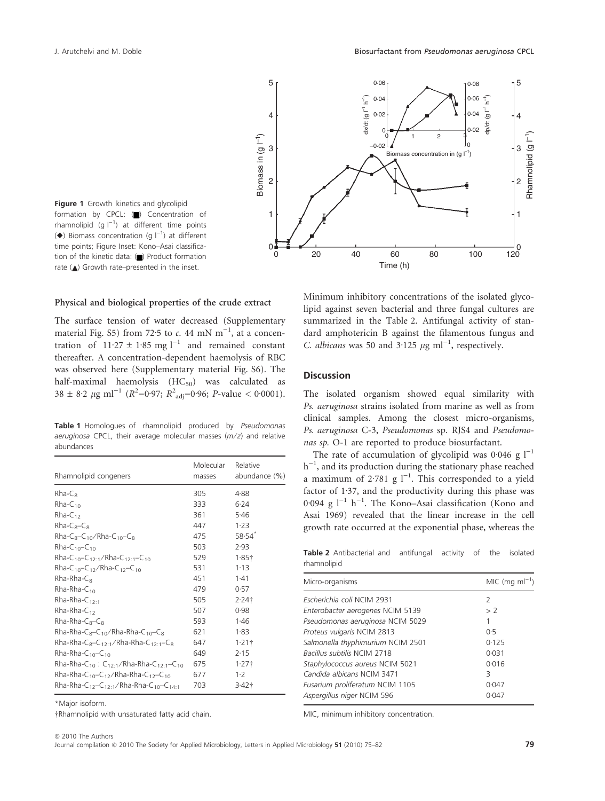

Figure 1 Growth kinetics and glycolipid formation by CPCL:  $\Box$ ) Concentration of rhamnolipid (g  $|^{-1}$ ) at different time points  $(\blacklozenge)$  Biomass concentration (g  $I^{-1}$ ) at different time points; Figure Inset: Kono–Asai classification of the kinetic data: () Product formation rate  $(\triangle)$  Growth rate–presented in the inset.

#### Physical and biological properties of the crude extract

The surface tension of water decreased (Supplementary material Fig.  $55$ ) from 72.5 to *c*. 44 mN m<sup>-1</sup>, at a concentration of  $11.27 \pm 1.85$  mg l<sup>-1</sup> and remained constant thereafter. A concentration-dependent haemolysis of RBC was observed here (Supplementary material Fig. S6). The half-maximal haemolysis  $(HC_{50})$  was calculated as  $38 \pm 8.2 \ \mu\text{g m}^{-1}$  ( $R^2$ –0.97;  $R^2$ <sub>adj</sub>–0.96; *P*-value < 0.0001).

Table 1 Homologues of rhamnolipid produced by Pseudomonas aeruginosa CPCL, their average molecular masses  $(m/z)$  and relative abundances

| Rhamnolipid congeners                                                                   | Molecular<br>masses | Relative<br>abundance (%) |
|-----------------------------------------------------------------------------------------|---------------------|---------------------------|
| $R$ ha-C $\alpha$                                                                       | 305                 | 4.88                      |
| $Rha-C_{10}$                                                                            | 333                 | 6.24                      |
| $Rha-C_{12}$                                                                            | 361                 | 5.46                      |
| $Rha-C_8-C_8$                                                                           | 447                 | 1.23                      |
| $Rha-C_8-C_{10}/Rha-C_{10}-C_8$                                                         | 475                 | 58.54                     |
| $R$ ha-C <sub>10</sub> -C <sub>10</sub>                                                 | 503                 | 2.93                      |
| Rha-C <sub>10</sub> -C <sub>12:1</sub> /Rha-C <sub>12:1</sub> -C <sub>10</sub>          | 529                 | 1.85 <sup>†</sup>         |
| Rha-C <sub>10</sub> -C <sub>12</sub> /Rha-C <sub>12</sub> -C <sub>10</sub>              | 531                 | 1.13                      |
| Rha-Rha-C¤                                                                              | 451                 | 1.41                      |
| $Rha-Rha-C10$                                                                           | 479                 | 0.57                      |
| Rha-Rha-C <sub>12:1</sub>                                                               | 505                 | $2.24$ †                  |
| $Rha-Rha-C12$                                                                           | 507                 | 0.98                      |
| $Rha-Rha-C_8-C_8$                                                                       | 593                 | 1.46                      |
| Rha-Rha-C <sub>8</sub> -C <sub>10</sub> /Rha-Rha-C <sub>10</sub> -C <sub>8</sub>        | 621                 | 1.83                      |
| Rha-Rha-C <sub>8</sub> -C <sub>12:1</sub> /Rha-Rha-C <sub>12:1</sub> -C <sub>8</sub>    | 647                 | $1.21$ †                  |
| Rha-Rha-C <sub>10</sub> -C <sub>10</sub>                                                | 649                 | 2.15                      |
| Rha-Rha-C <sub>10</sub> : C <sub>12:1</sub> /Rha-Rha-C <sub>12:1</sub> -C <sub>10</sub> | 675                 | $1.27$ †                  |
| Rha-Rha-C <sub>10</sub> -C <sub>12</sub> /Rha-Rha-C <sub>12</sub> -C <sub>10</sub>      | 677                 | $1-2$                     |
| Rha-Rha-C <sub>12</sub> -C <sub>12:1</sub> /Rha-Rha-C <sub>10</sub> -C <sub>14:1</sub>  | 703                 | 3.42 <sub>†</sub>         |

\*Major isoform.

-Rhamnolipid with unsaturated fatty acid chain.

Minimum inhibitory concentrations of the isolated glycolipid against seven bacterial and three fungal cultures are summarized in the Table 2. Antifungal activity of standard amphotericin B against the filamentous fungus and *C. albicans* was 50 and  $3.125 \ \mu g \ m l^{-1}$ , respectively.

## **Discussion**

The isolated organism showed equal similarity with *Ps. aeruginosa* strains isolated from marine as well as from clinical samples. Among the closest micro-organisms, *Ps. aeruginosa* C-3, *Pseudomonas* sp. RJS4 and *Pseudomonas sp.* O-1 are reported to produce biosurfactant.

The rate of accumulation of glycolipid was 0.046 g  $l^{-1}$ h<sup>-1</sup>, and its production during the stationary phase reached a maximum of 2.781 g  $l^{-1}$ . This corresponded to a yield factor of  $1.37$ , and the productivity during this phase was 0.094 g  $l^{-1}$  h<sup>-1</sup>. The Kono–Asai classification (Kono and Asai 1969) revealed that the linear increase in the cell growth rate occurred at the exponential phase, whereas the

Table 2 Antibacterial and antifungal activity of the isolated rhamnolipid

| Micro-organisms                   | MIC (mg m $I^{-1}$ ) |
|-----------------------------------|----------------------|
| Escherichia coli NCIM 2931        | 2                    |
| Enterobacter aerogenes NCIM 5139  | > 2                  |
| Pseudomonas aeruginosa NCIM 5029  | 1                    |
| Proteus vulgaris NCIM 2813        | 0.5                  |
| Salmonella thyphimurium NCIM 2501 | 0.125                |
| Bacillus subtilis NCIM 2718       | 0.031                |
| Staphylococcus aureus NCIM 5021   | 0.016                |
| Candida albicans NCIM 3471        | 3                    |
| Fusarium proliferatum NCIM 1105   | 0.047                |
| Aspergillus niger NCIM 596        | 0.047                |
|                                   |                      |

MIC, minimum inhibitory concentration.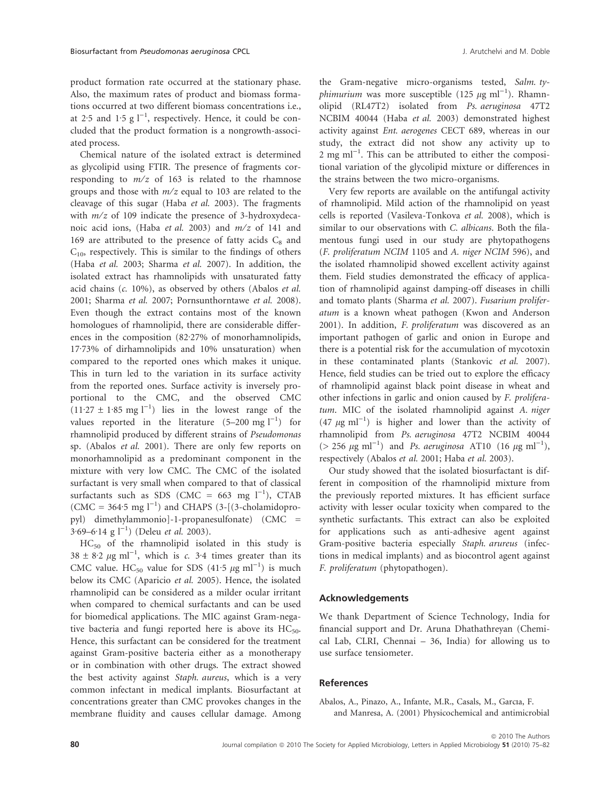product formation rate occurred at the stationary phase. Also, the maximum rates of product and biomass formations occurred at two different biomass concentrations i.e., at 2.5 and 1.5  $g l^{-1}$ , respectively. Hence, it could be concluded that the product formation is a nongrowth-associated process.

Chemical nature of the isolated extract is determined as glycolipid using FTIR. The presence of fragments corresponding to *m*⁄*z* of 163 is related to the rhamnose groups and those with *m*⁄*z* equal to 103 are related to the cleavage of this sugar (Haba *et al.* 2003). The fragments with *m*⁄*z* of 109 indicate the presence of 3-hydroxydecanoic acid ions, (Haba *et al.* 2003) and *m*⁄*z* of 141 and 169 are attributed to the presence of fatty acids  $C_8$  and  $C_{10}$ , respectively. This is similar to the findings of others (Haba *et al.* 2003; Sharma *et al.* 2007). In addition, the isolated extract has rhamnolipids with unsaturated fatty acid chains (*c.* 10%), as observed by others (Abalos *et al.* 2001; Sharma *et al.* 2007; Pornsunthorntawe *et al.* 2008). Even though the extract contains most of the known homologues of rhamnolipid, there are considerable differences in the composition  $(82.27\%$  of monorhamnolipids, 17.73% of dirhamnolipids and 10% unsaturation) when compared to the reported ones which makes it unique. This in turn led to the variation in its surface activity from the reported ones. Surface activity is inversely proportional to the CMC, and the observed CMC  $(11.27 \pm 1.85 \text{ mg l}^{-1})$  lies in the lowest range of the values reported in the literature  $(5-200 \text{ mg l}^{-1})$  for rhamnolipid produced by different strains of *Pseudomonas* sp. (Abalos *et al.* 2001). There are only few reports on monorhamnolipid as a predominant component in the mixture with very low CMC. The CMC of the isolated surfactant is very small when compared to that of classical surfactants such as SDS (CMC = 663 mg  $l^{-1}$ ), CTAB  $(CMC = 364.5 \text{ mg l}^{-1})$  and CHAPS (3-[(3-cholamidopropyl) dimethylammonio]-1-propanesulfonate) (CMC =  $3.69 - 6.14$  g l<sup>-1</sup>) (Deleu *et al.* 2003).

HC<sup>50</sup> of the rhamnolipid isolated in this study is  $38 \pm 8.2 \,\mu g \text{ ml}^{-1}$ , which is *c.* 3.4 times greater than its CMC value. HC<sub>50</sub> value for SDS (41.5  $\mu$ g ml<sup>-1</sup>) is much below its CMC (Aparicio *et al.* 2005). Hence, the isolated rhamnolipid can be considered as a milder ocular irritant when compared to chemical surfactants and can be used for biomedical applications. The MIC against Gram-negative bacteria and fungi reported here is above its  $HC_{50}$ . Hence, this surfactant can be considered for the treatment against Gram-positive bacteria either as a monotherapy or in combination with other drugs. The extract showed the best activity against *Staph. aureus*, which is a very common infectant in medical implants. Biosurfactant at concentrations greater than CMC provokes changes in the membrane fluidity and causes cellular damage. Among the Gram-negative micro-organisms tested, *Salm. ty* $phimurium$  was more susceptible (125  $\mu$ g ml<sup>-1</sup>). Rhamnolipid (RL47T2) isolated from *Ps. aeruginosa* 47T2 NCBIM 40044 (Haba *et al.* 2003) demonstrated highest activity against *Ent. aerogenes* CECT 689, whereas in our study, the extract did not show any activity up to  $2 \text{ mg ml}^{-1}$ . This can be attributed to either the compositional variation of the glycolipid mixture or differences in the strains between the two micro-organisms.

Very few reports are available on the antifungal activity of rhamnolipid. Mild action of the rhamnolipid on yeast cells is reported (Vasileva-Tonkova *et al.* 2008), which is similar to our observations with *C. albicans*. Both the filamentous fungi used in our study are phytopathogens (*F. proliferatum NCIM* 1105 and *A. niger NCIM* 596), and the isolated rhamnolipid showed excellent activity against them. Field studies demonstrated the efficacy of application of rhamnolipid against damping-off diseases in chilli and tomato plants (Sharma *et al.* 2007). *Fusarium proliferatum* is a known wheat pathogen (Kwon and Anderson 2001). In addition, *F. proliferatum* was discovered as an important pathogen of garlic and onion in Europe and there is a potential risk for the accumulation of mycotoxin in these contaminated plants (Stankovic *et al.* 2007). Hence, field studies can be tried out to explore the efficacy of rhamnolipid against black point disease in wheat and other infections in garlic and onion caused by *F. proliferatum*. MIC of the isolated rhamnolipid against *A. niger*  $(47 \ \mu g \ ml^{-1})$  is higher and lower than the activity of rhamnolipid from *Ps. aeruginosa* 47T2 NCBIM 40044  $(> 256 \ \mu g \ ml^{-1})$  and *Ps. aeruginosa* AT10 (16  $\mu g \ ml^{-1}$ ), respectively (Abalos *et al.* 2001; Haba *et al.* 2003).

Our study showed that the isolated biosurfactant is different in composition of the rhamnolipid mixture from the previously reported mixtures. It has efficient surface activity with lesser ocular toxicity when compared to the synthetic surfactants. This extract can also be exploited for applications such as anti-adhesive agent against Gram-positive bacteria especially *Staph. arureus* (infections in medical implants) and as biocontrol agent against *F. proliferatum* (phytopathogen).

### Acknowledgements

We thank Department of Science Technology, India for financial support and Dr. Aruna Dhathathreyan (Chemical Lab, CLRI, Chennai – 36, India) for allowing us to use surface tensiometer.

#### References

Abalos, A., Pinazo, A., Infante, M.R., Casals, M., Garcıa, F. and Manresa, A. (2001) Physicochemical and antimicrobial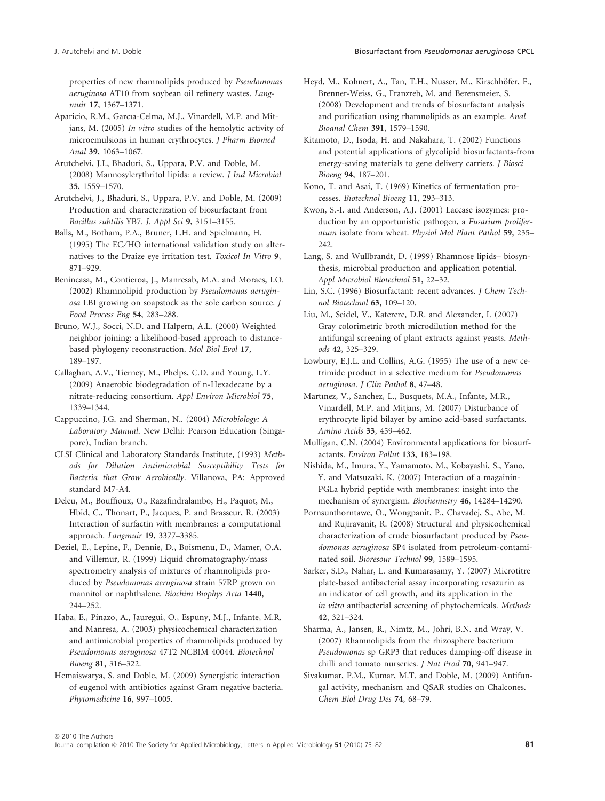properties of new rhamnolipids produced by *Pseudomonas aeruginosa* AT10 from soybean oil refinery wastes. *Langmuir* 17, 1367–1371.

Aparicio, R.M., Garcıa-Celma, M.J., Vinardell, M.P. and Mitjans, M. (2005) *In vitro* studies of the hemolytic activity of microemulsions in human erythrocytes. *J Pharm Biomed Anal* 39, 1063–1067.

Arutchelvi, J.I., Bhaduri, S., Uppara, P.V. and Doble, M. (2008) Mannosylerythritol lipids: a review. *J Ind Microbiol* 35, 1559–1570.

Arutchelvi, J., Bhaduri, S., Uppara, P.V. and Doble, M. (2009) Production and characterization of biosurfactant from *Bacillus subtilis* YB7. *J. Appl Sci* 9, 3151–3155.

Balls, M., Botham, P.A., Bruner, L.H. and Spielmann, H. (1995) The EC ⁄ HO international validation study on alternatives to the Draize eye irritation test. *Toxicol In Vitro* 9, 871–929.

Benincasa, M., Contieroa, J., Manresab, M.A. and Moraes, I.O. (2002) Rhamnolipid production by *Pseudomonas aeruginosa* LBI growing on soapstock as the sole carbon source. *J Food Process Eng* 54, 283–288.

Bruno, W.J., Socci, N.D. and Halpern, A.L. (2000) Weighted neighbor joining: a likelihood-based approach to distancebased phylogeny reconstruction. *Mol Biol Evol* 17, 189–197.

Callaghan, A.V., Tierney, M., Phelps, C.D. and Young, L.Y. (2009) Anaerobic biodegradation of n-Hexadecane by a nitrate-reducing consortium. *Appl Environ Microbiol* 75, 1339–1344.

Cappuccino, J.G. and Sherman, N.. (2004) *Microbiology: A Laboratory Manual*. New Delhi: Pearson Education (Singapore), Indian branch.

CLSI Clinical and Laboratory Standards Institute, (1993) *Methods for Dilution Antimicrobial Susceptibility Tests for Bacteria that Grow Aerobically*. Villanova, PA: Approved standard M7-A4.

Deleu, M., Bouffioux, O., Razafindralambo, H., Paquot, M., Hbid, C., Thonart, P., Jacques, P. and Brasseur, R. (2003) Interaction of surfactin with membranes: a computational approach. *Langmuir* 19, 3377–3385.

Deziel, E., Lepine, F., Dennie, D., Boismenu, D., Mamer, O.A. and Villemur, R. (1999) Liquid chromatography/mass spectrometry analysis of mixtures of rhamnolipids produced by *Pseudomonas aeruginosa* strain 57RP grown on mannitol or naphthalene. *Biochim Biophys Acta* 1440, 244–252.

Haba, E., Pinazo, A., Jauregui, O., Espuny, M.J., Infante, M.R. and Manresa, A. (2003) physicochemical characterization and antimicrobial properties of rhamnolipids produced by *Pseudomonas aeruginosa* 47T2 NCBIM 40044. *Biotechnol Bioeng* 81, 316–322.

Hemaiswarya, S. and Doble, M. (2009) Synergistic interaction of eugenol with antibiotics against Gram negative bacteria. *Phytomedicine* 16, 997–1005.

Heyd, M., Kohnert, A., Tan, T.H., Nusser, M., Kirschhöfer, F., Brenner-Weiss, G., Franzreb, M. and Berensmeier, S. (2008) Development and trends of biosurfactant analysis and purification using rhamnolipids as an example. *Anal Bioanal Chem* 391, 1579–1590.

Kitamoto, D., Isoda, H. and Nakahara, T. (2002) Functions and potential applications of glycolipid biosurfactants-from energy-saving materials to gene delivery carriers. *J Biosci Bioeng* 94, 187–201.

Kono, T. and Asai, T. (1969) Kinetics of fermentation processes. *Biotechnol Bioeng* 11, 293–313.

Kwon, S.-I. and Anderson, A.J. (2001) Laccase isozymes: production by an opportunistic pathogen, a *Fusarium proliferatum* isolate from wheat. *Physiol Mol Plant Pathol* 59, 235– 242.

Lang, S. and Wullbrandt, D. (1999) Rhamnose lipids– biosynthesis, microbial production and application potential. *Appl Microbiol Biotechnol* 51, 22–32.

Lin, S.C. (1996) Biosurfactant: recent advances. *J Chem Technol Biotechnol* 63, 109–120.

Liu, M., Seidel, V., Katerere, D.R. and Alexander, I. (2007) Gray colorimetric broth microdilution method for the antifungal screening of plant extracts against yeasts. *Methods* 42, 325–329.

Lowbury, E.J.L. and Collins, A.G. (1955) The use of a new cetrimide product in a selective medium for *Pseudomonas aeruginosa*. *J Clin Pathol* 8, 47–48.

Martınez, V., Sanchez, L., Busquets, M.A., Infante, M.R., Vinardell, M.P. and Mitjans, M. (2007) Disturbance of erythrocyte lipid bilayer by amino acid-based surfactants. *Amino Acids* 33, 459–462.

Mulligan, C.N. (2004) Environmental applications for biosurfactants. *Environ Pollut* 133, 183–198.

Nishida, M., Imura, Y., Yamamoto, M., Kobayashi, S., Yano, Y. and Matsuzaki, K. (2007) Interaction of a magainin-PGLa hybrid peptide with membranes: insight into the mechanism of synergism. *Biochemistry* 46, 14284–14290.

Pornsunthorntawe, O., Wongpanit, P., Chavadej, S., Abe, M. and Rujiravanit, R. (2008) Structural and physicochemical characterization of crude biosurfactant produced by *Pseudomonas aeruginosa* SP4 isolated from petroleum-contaminated soil. *Bioresour Technol* 99, 1589–1595.

Sarker, S.D., Nahar, L. and Kumarasamy, Y. (2007) Microtitre plate-based antibacterial assay incorporating resazurin as an indicator of cell growth, and its application in the *in vitro* antibacterial screening of phytochemicals. *Methods* 42, 321–324.

Sharma, A., Jansen, R., Nimtz, M., Johri, B.N. and Wray, V. (2007) Rhamnolipids from the rhizosphere bacterium *Pseudomonas* sp GRP3 that reduces damping-off disease in chilli and tomato nurseries. *J Nat Prod* 70, 941–947.

Sivakumar, P.M., Kumar, M.T. and Doble, M. (2009) Antifungal activity, mechanism and QSAR studies on Chalcones. *Chem Biol Drug Des* 74, 68–79.